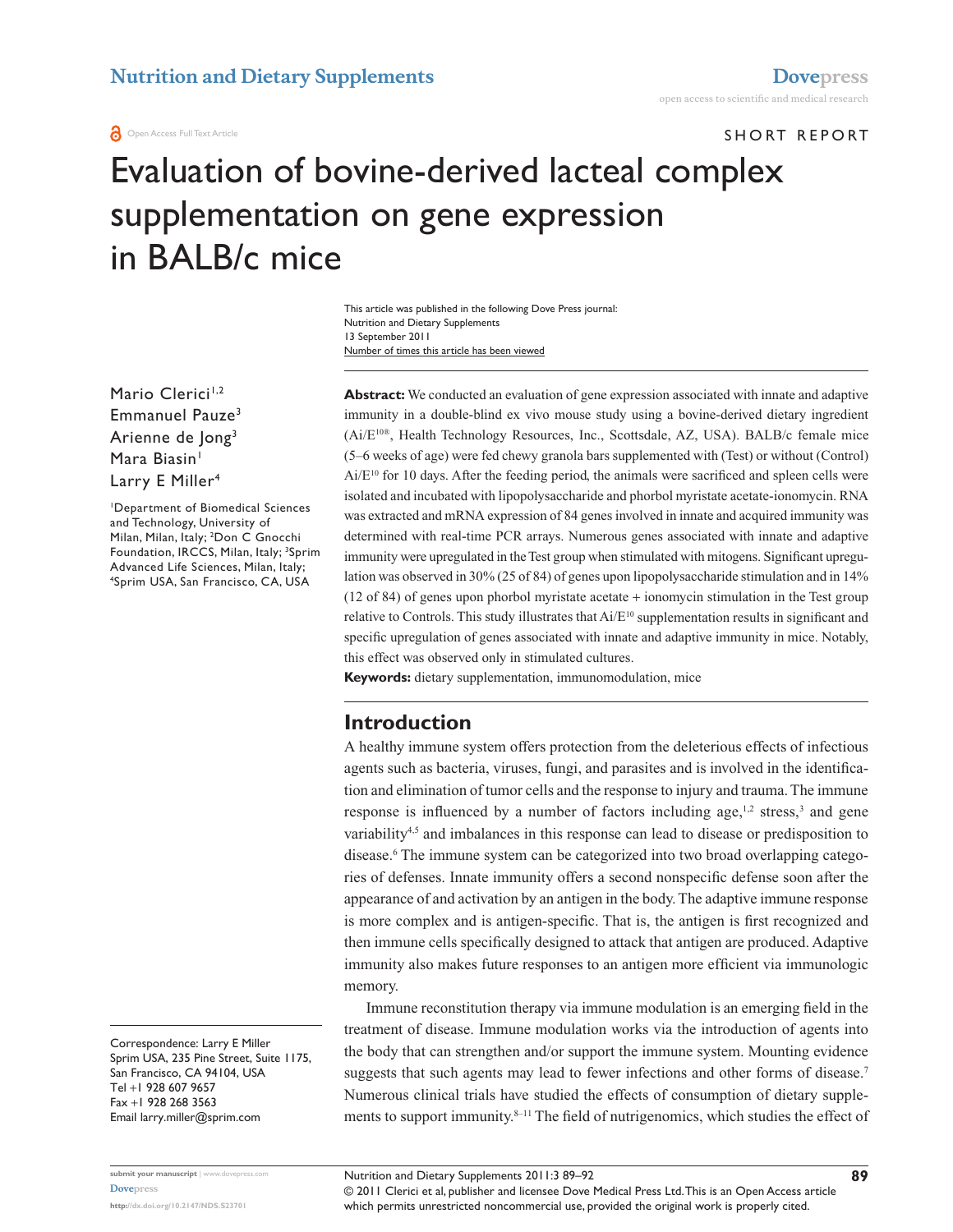#### **a** Open Access Full Text Article

## SHORT REPORT

# Evaluation of bovine-derived lacteal complex supplementation on gene expression in BALB/c mice

Number of times this article has been viewed This article was published in the following Dove Press journal: Nutrition and Dietary Supplements 13 September 2011

Mario Clerici<sup>1,2</sup> Emmanuel Pauze<sup>3</sup> Arienne de Jong3 Mara Biasin<sup>1</sup> Larry E Miller<sup>4</sup>

1 Department of Biomedical Sciences and Technology, University of Milan, Milan, Italy; <sup>2</sup>Don C Gnocchi Foundation, IRCCS, Milan, Italy; <sup>3</sup>Sprim Advanced Life Sciences, Milan, Italy; 4 Sprim USA, San Francisco, CA, USA

**Abstract:** We conducted an evaluation of gene expression associated with innate and adaptive immunity in a double-blind ex vivo mouse study using a bovine-derived dietary ingredient (Ai/E10®, Health Technology Resources, Inc., Scottsdale, AZ, USA). BALB/c female mice (5–6 weeks of age) were fed chewy granola bars supplemented with (Test) or without (Control)  $Ai/E^{10}$  for 10 days. After the feeding period, the animals were sacrificed and spleen cells were isolated and incubated with lipopolysaccharide and phorbol myristate acetate-ionomycin. RNA was extracted and mRNA expression of 84 genes involved in innate and acquired immunity was determined with real-time PCR arrays. Numerous genes associated with innate and adaptive immunity were upregulated in the Test group when stimulated with mitogens. Significant upregulation was observed in 30% (25 of 84) of genes upon lipopolysaccharide stimulation and in 14% (12 of 84) of genes upon phorbol myristate acetate + ionomycin stimulation in the Test group relative to Controls. This study illustrates that  $Ai/E^{10}$  supplementation results in significant and specific upregulation of genes associated with innate and adaptive immunity in mice. Notably, this effect was observed only in stimulated cultures.

**Keywords:** dietary supplementation, immunomodulation, mice

#### **Introduction**

A healthy immune system offers protection from the deleterious effects of infectious agents such as bacteria, viruses, fungi, and parasites and is involved in the identification and elimination of tumor cells and the response to injury and trauma. The immune response is influenced by a number of factors including age, $1/2$  stress,  $3$  and gene variability4,5 and imbalances in this response can lead to disease or predisposition to disease.<sup>6</sup> The immune system can be categorized into two broad overlapping categories of defenses. Innate immunity offers a second nonspecific defense soon after the appearance of and activation by an antigen in the body. The adaptive immune response is more complex and is antigen-specific. That is, the antigen is first recognized and then immune cells specifically designed to attack that antigen are produced. Adaptive immunity also makes future responses to an antigen more efficient via immunologic memory.

Immune reconstitution therapy via immune modulation is an emerging field in the treatment of disease. Immune modulation works via the introduction of agents into the body that can strengthen and/or support the immune system. Mounting evidence suggests that such agents may lead to fewer infections and other forms of disease.<sup>7</sup> Numerous clinical trials have studied the effects of consumption of dietary supplements to support immunity.<sup>8-11</sup> The field of nutrigenomics, which studies the effect of

Correspondence: Larry E Miller Sprim USA, 235 Pine Street, Suite 1175, San Francisco, CA 94104, USA Tel +1 928 607 9657 Fax +1 928 268 3563 Email [larry.miller@sprim.com](mailto:larry.miller@sprim.com)

© 2011 Clerici et al, publisher and licensee Dove Medical Press Ltd. This is an Open Access article which permits unrestricted noncommercial use, provided the original work is properly cited.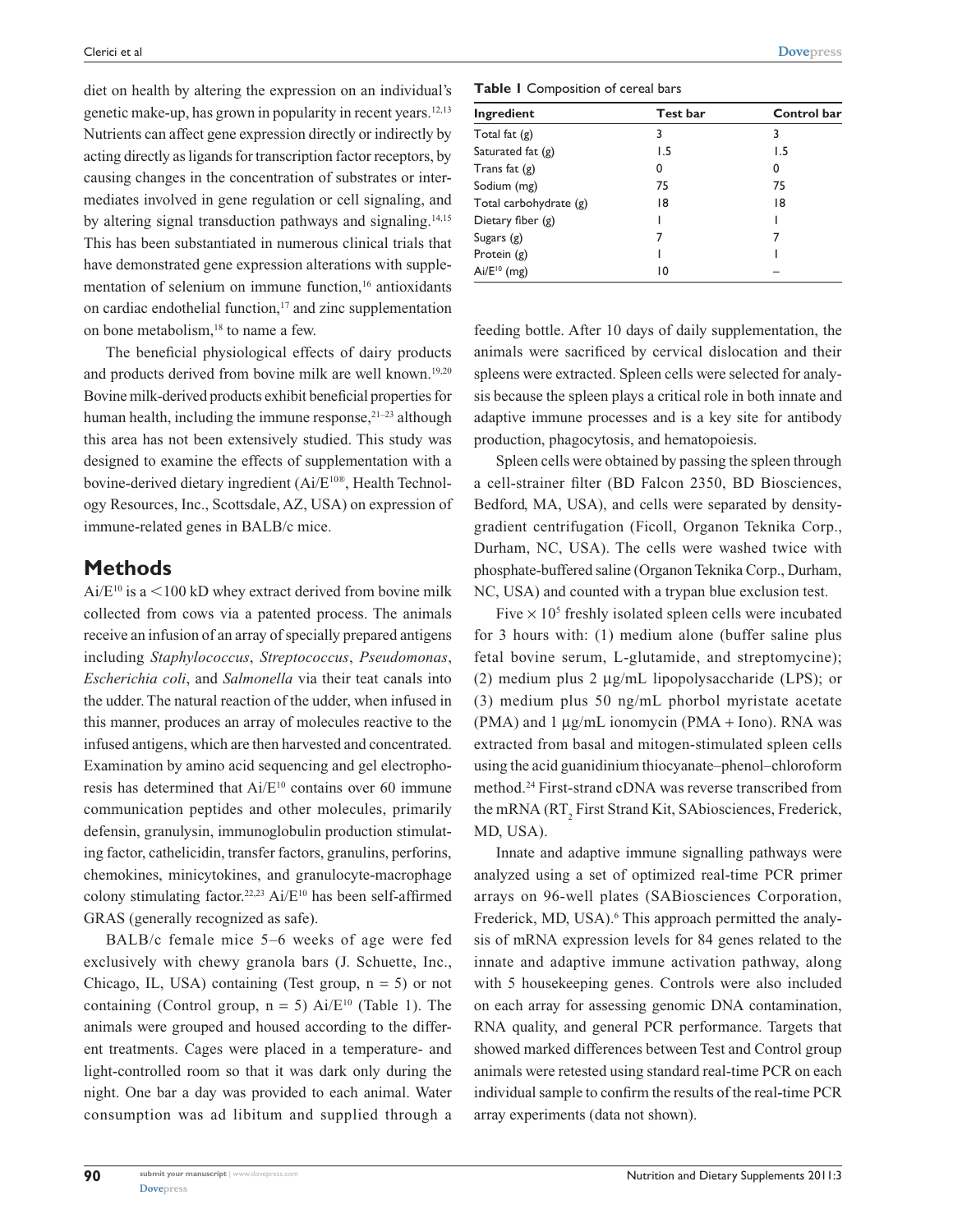diet on health by altering the expression on an individual's genetic make-up, has grown in popularity in recent years.12,13 Nutrients can affect gene expression directly or indirectly by acting directly as ligands for transcription factor receptors, by causing changes in the concentration of substrates or intermediates involved in gene regulation or cell signaling, and by altering signal transduction pathways and signaling.14,15 This has been substantiated in numerous clinical trials that have demonstrated gene expression alterations with supplementation of selenium on immune function,<sup>16</sup> antioxidants on cardiac endothelial function, $17$  and zinc supplementation on bone metabolism,<sup>18</sup> to name a few.

The beneficial physiological effects of dairy products and products derived from bovine milk are well known.<sup>19,20</sup> Bovine milk-derived products exhibit beneficial properties for human health, including the immune response, $21-23$  although this area has not been extensively studied. This study was designed to examine the effects of supplementation with a bovine-derived dietary ingredient (Ai/E10®, Health Technology Resources, Inc., Scottsdale, AZ, USA) on expression of immune-related genes in BALB/c mice.

### **Methods**

 $Ai/E^{10}$  is a <100 kD whey extract derived from bovine milk collected from cows via a patented process. The animals receive an infusion of an array of specially prepared antigens including *Staphylococcus*, *Streptococcus*, *Pseudomonas*, *Escherichia coli*, and *Salmonella* via their teat canals into the udder. The natural reaction of the udder, when infused in this manner, produces an array of molecules reactive to the infused antigens, which are then harvested and concentrated. Examination by amino acid sequencing and gel electrophoresis has determined that Ai/E<sup>10</sup> contains over 60 immune communication peptides and other molecules, primarily defensin, granulysin, immunoglobulin production stimulating factor, cathelicidin, transfer factors, granulins, perforins, chemokines, minicytokines, and granulocyte-macrophage colony stimulating factor.<sup>22,23</sup> Ai/E<sup>10</sup> has been self-affirmed GRAS (generally recognized as safe).

BALB/c female mice 5–6 weeks of age were fed exclusively with chewy granola bars (J. Schuette, Inc., Chicago, IL, USA) containing (Test group,  $n = 5$ ) or not containing (Control group,  $n = 5$ ) Ai/E<sup>10</sup> (Table 1). The animals were grouped and housed according to the different treatments. Cages were placed in a temperature- and light-controlled room so that it was dark only during the night. One bar a day was provided to each animal. Water consumption was ad libitum and supplied through a

**Table 1** Composition of cereal bars

| Ingredient             | Test bar | Control bar |  |
|------------------------|----------|-------------|--|
| Total fat $(g)$        | 3        | 3           |  |
| Saturated fat (g)      | 1.5      | 1.5         |  |
| Trans fat $(g)$        | 0        | 0           |  |
| Sodium (mg)            | 75       | 75          |  |
| Total carbohydrate (g) | 18       | 18          |  |
| Dietary fiber $(g)$    |          |             |  |
| Sugars $(g)$           |          |             |  |
| Protein $(g)$          |          |             |  |
| $Ai/E^{10}$ (mg)       | 10       |             |  |

feeding bottle. After 10 days of daily supplementation, the animals were sacrificed by cervical dislocation and their spleens were extracted. Spleen cells were selected for analysis because the spleen plays a critical role in both innate and adaptive immune processes and is a key site for antibody production, phagocytosis, and hematopoiesis.

Spleen cells were obtained by passing the spleen through a cell-strainer filter (BD Falcon 2350, BD Biosciences, Bedford, MA, USA), and cells were separated by densitygradient centrifugation (Ficoll, Organon Teknika Corp., Durham, NC, USA). The cells were washed twice with phosphate-buffered saline (Organon Teknika Corp., Durham, NC, USA) and counted with a trypan blue exclusion test.

Five  $\times$  10<sup>5</sup> freshly isolated spleen cells were incubated for 3 hours with: (1) medium alone (buffer saline plus fetal bovine serum, L-glutamide, and streptomycine); (2) medium plus 2 µg/mL lipopolysaccharide (LPS); or (3) medium plus 50 ng/mL phorbol myristate acetate (PMA) and 1  $\mu$ g/mL ionomycin (PMA + Iono). RNA was extracted from basal and mitogen-stimulated spleen cells using the acid guanidinium thiocyanate–phenol–chloroform method.24 First-strand cDNA was reverse transcribed from the mRNA  $(RT_2$  First Strand Kit, SAbiosciences, Frederick, MD, USA).

Innate and adaptive immune signalling pathways were analyzed using a set of optimized real-time PCR primer arrays on 96-well plates (SABiosciences Corporation, Frederick, MD, USA).<sup>6</sup> This approach permitted the analysis of mRNA expression levels for 84 genes related to the innate and adaptive immune activation pathway, along with 5 housekeeping genes. Controls were also included on each array for assessing genomic DNA contamination, RNA quality, and general PCR performance. Targets that showed marked differences between Test and Control group animals were retested using standard real-time PCR on each individual sample to confirm the results of the real-time PCR array experiments (data not shown).

**90**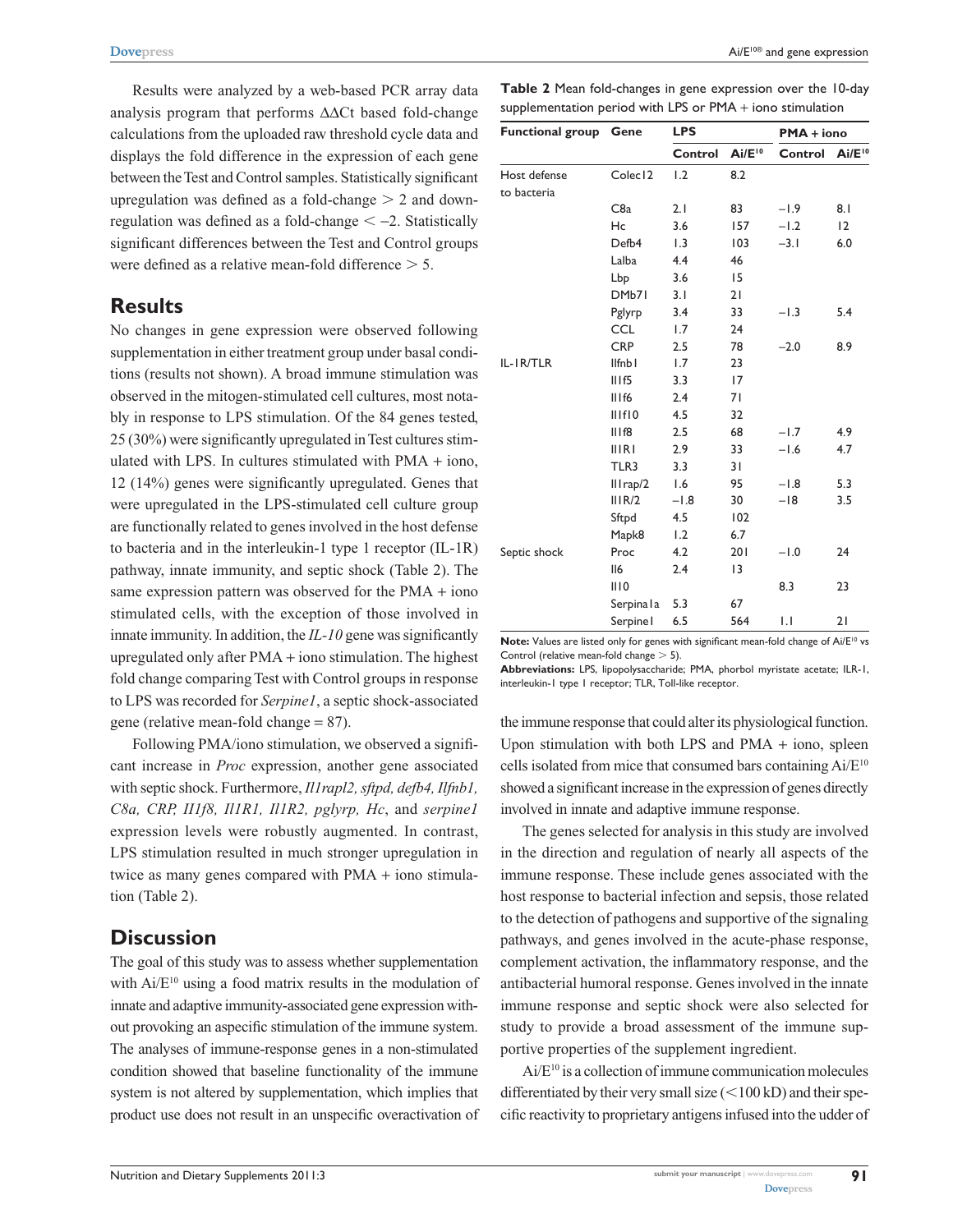Results were analyzed by a web-based PCR array data analysis program that performs ∆∆Ct based fold-change calculations from the uploaded raw threshold cycle data and displays the fold difference in the expression of each gene between the Test and Control samples. Statistically significant upregulation was defined as a fold-change  $> 2$  and downregulation was defined as a fold-change  $\le$  -2. Statistically significant differences between the Test and Control groups were defined as a relative mean-fold difference  $> 5$ .

## **Results**

No changes in gene expression were observed following supplementation in either treatment group under basal conditions (results not shown). A broad immune stimulation was observed in the mitogen-stimulated cell cultures, most notably in response to LPS stimulation. Of the 84 genes tested, 25 (30%) were significantly upregulated in Test cultures stimulated with LPS. In cultures stimulated with PMA + iono, 12 (14%) genes were significantly upregulated. Genes that were upregulated in the LPS-stimulated cell culture group are functionally related to genes involved in the host defense to bacteria and in the interleukin-1 type 1 receptor (IL-1R) pathway, innate immunity, and septic shock (Table 2). The same expression pattern was observed for the PMA + iono stimulated cells, with the exception of those involved in innate immunity. In addition, the *IL-10* gene was significantly upregulated only after PMA + iono stimulation. The highest fold change comparing Test with Control groups in response to LPS was recorded for *Serpine1*, a septic shock-associated gene (relative mean-fold change = 87).

Following PMA/iono stimulation, we observed a significant increase in *Proc* expression, another gene associated with septic shock. Furthermore, *Il1rapl2, sftpd, defb4, Ilfnb1, C8a, CRP, II1f8, Il1R1, Il1R2, pglyrp, Hc*, and *serpine1* expression levels were robustly augmented. In contrast, LPS stimulation resulted in much stronger upregulation in twice as many genes compared with PMA + iono stimulation (Table 2).

## **Discussion**

The goal of this study was to assess whether supplementation with Ai/E<sup>10</sup> using a food matrix results in the modulation of innate and adaptive immunity-associated gene expression without provoking an aspecific stimulation of the immune system. The analyses of immune-response genes in a non-stimulated condition showed that baseline functionality of the immune system is not altered by supplementation, which implies that product use does not result in an unspecific overactivation of

**Table 2** Mean fold-changes in gene expression over the 10-day supplementation period with LPS or PMA + iono stimulation

| <b>Functional group Gene</b> |                     | <b>LPS</b>       |             | $PMA + iono$     |             |
|------------------------------|---------------------|------------------|-------------|------------------|-------------|
|                              |                     | Control          | $Ai/E^{10}$ | Control          | $Ai/E^{10}$ |
| Host defense                 | Colec <sub>12</sub> | 1.2              | 8.2         |                  |             |
| to bacteria                  |                     |                  |             |                  |             |
|                              | C <sub>8</sub> a    | 2.1              | 83          | $-1.9$           | 8.1         |
|                              | Hc                  | 3.6              | 157         | $-1.2$           | 12          |
|                              | Defb4               | $\overline{1.3}$ | 103         | $-3.1$           | 6.0         |
|                              | Lalba               | 4.4              | 46          |                  |             |
|                              | Lbp                 | 3.6              | 15          |                  |             |
|                              | DMb71               | 3.1              | 21          |                  |             |
|                              | Pglyrp              | 3.4              | 33          | $-1.3$           | 5.4         |
|                              | <b>CCL</b>          | 1.7              | 24          |                  |             |
|                              | <b>CRP</b>          | 2.5              | 78          | $-2.0$           | 8.9         |
| IL-IR/TLR                    | Ilfnb <sub>1</sub>  | 1.7              | 23          |                  |             |
|                              | III <sub>15</sub>   | 3.3              | 17          |                  |             |
|                              | IIIf6               | 2.4              | 71          |                  |             |
|                              | IIIfI0              | 4.5              | 32          |                  |             |
|                              | IIIf8               | 2.5              | 68          | $-1.7$           | 4.9         |
|                              | <b>IIIRI</b>        | 2.9              | 33          | $-1.6$           | 4.7         |
|                              | TLR3                | 3.3              | 31          |                  |             |
|                              | $III$ rap/2         | 1.6              | 95          | $-1.8$           | 5.3         |
|                              | III R/2             | $-1.8$           | 30          | $-18$            | 3.5         |
|                              | Sftpd               | 4.5              | 102         |                  |             |
|                              | Mapk8               | 1.2              | 6.7         |                  |             |
| Septic shock                 | Proc                | 4.2              | 201         | $-1.0$           | 24          |
|                              | II6                 | 2.4              | 13          |                  |             |
|                              | III0                |                  |             | 8.3              | 23          |
|                              | Serpinala           | 5.3              | 67          |                  |             |
|                              | Serpine I           | 6.5              | 564         | $\overline{1}$ . | 21          |

Note: Values are listed only for genes with significant mean-fold change of Ai/E<sup>10</sup> vs Control (relative mean-fold change  $>$  5).

**Abbreviations:** LPS, lipopolysaccharide; PMA, phorbol myristate acetate; ILR-1, interleukin-1 type 1 receptor; TLR, Toll-like receptor.

the immune response that could alter its physiological function. Upon stimulation with both LPS and  $PMA + iono$ , spleen cells isolated from mice that consumed bars containing Ai/E10 showed a significant increase in the expression of genes directly involved in innate and adaptive immune response.

The genes selected for analysis in this study are involved in the direction and regulation of nearly all aspects of the immune response. These include genes associated with the host response to bacterial infection and sepsis, those related to the detection of pathogens and supportive of the signaling pathways, and genes involved in the acute-phase response, complement activation, the inflammatory response, and the antibacterial humoral response. Genes involved in the innate immune response and septic shock were also selected for study to provide a broad assessment of the immune supportive properties of the supplement ingredient.

Ai/E10 is a collection of immune communication molecules differentiated by their very small size  $(<100$  kD) and their specific reactivity to proprietary antigens infused into the udder of